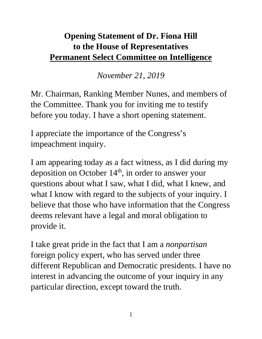## **Opening Statement of Dr. Fiona Hill to the House of Representatives Permanent Select Committee on Intelligence**

*November 21, 2019*

Mr. Chairman, Ranking Member Nunes, and members of the Committee. Thank you for inviting me to testify before you today. I have a short opening statement.

I appreciate the importance of the Congress's impeachment inquiry.

I am appearing today as a fact witness, as I did during my deposition on October 14<sup>th</sup>, in order to answer your questions about what I saw, what I did, what I knew, and what I know with regard to the subjects of your inquiry. I believe that those who have information that the Congress deems relevant have a legal and moral obligation to provide it.

I take great pride in the fact that I am a *nonpartisan* foreign policy expert, who has served under three different Republican and Democratic presidents. I have no interest in advancing the outcome of your inquiry in any particular direction, except toward the truth.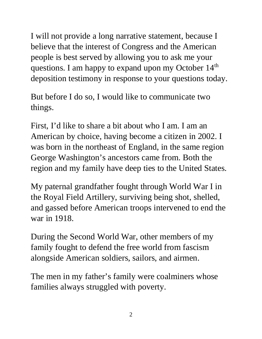I will not provide a long narrative statement, because I believe that the interest of Congress and the American people is best served by allowing you to ask me your questions. I am happy to expand upon my October 14<sup>th</sup> deposition testimony in response to your questions today.

But before I do so, I would like to communicate two things.

First, I'd like to share a bit about who I am. I am an American by choice, having become a citizen in 2002. I was born in the northeast of England, in the same region George Washington's ancestors came from. Both the region and my family have deep ties to the United States.

My paternal grandfather fought through World War I in the Royal Field Artillery, surviving being shot, shelled, and gassed before American troops intervened to end the war in 1918.

During the Second World War, other members of my family fought to defend the free world from fascism alongside American soldiers, sailors, and airmen.

The men in my father's family were coalminers whose families always struggled with poverty.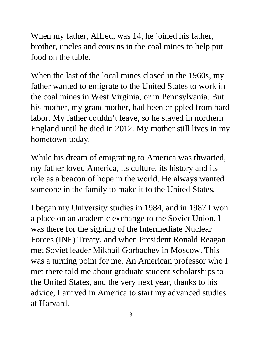When my father, Alfred, was 14, he joined his father, brother, uncles and cousins in the coal mines to help put food on the table.

When the last of the local mines closed in the 1960s, my father wanted to emigrate to the United States to work in the coal mines in West Virginia, or in Pennsylvania. But his mother, my grandmother, had been crippled from hard labor. My father couldn't leave, so he stayed in northern England until he died in 2012. My mother still lives in my hometown today.

While his dream of emigrating to America was thwarted, my father loved America, its culture, its history and its role as a beacon of hope in the world. He always wanted someone in the family to make it to the United States.

I began my University studies in 1984, and in 1987 I won a place on an academic exchange to the Soviet Union. I was there for the signing of the Intermediate Nuclear Forces (INF) Treaty, and when President Ronald Reagan met Soviet leader Mikhail Gorbachev in Moscow. This was a turning point for me. An American professor who I met there told me about graduate student scholarships to the United States, and the very next year, thanks to his advice, I arrived in America to start my advanced studies at Harvard.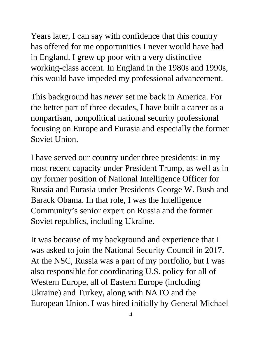Years later, I can say with confidence that this country has offered for me opportunities I never would have had in England. I grew up poor with a very distinctive working-class accent. In England in the 1980s and 1990s, this would have impeded my professional advancement.

This background has *never* set me back in America. For the better part of three decades, I have built a career as a nonpartisan, nonpolitical national security professional focusing on Europe and Eurasia and especially the former Soviet Union.

I have served our country under three presidents: in my most recent capacity under President Trump, as well as in my former position of National Intelligence Officer for Russia and Eurasia under Presidents George W. Bush and Barack Obama. In that role, I was the Intelligence Community's senior expert on Russia and the former Soviet republics, including Ukraine.

It was because of my background and experience that I was asked to join the National Security Council in 2017. At the NSC, Russia was a part of my portfolio, but I was also responsible for coordinating U.S. policy for all of Western Europe, all of Eastern Europe (including Ukraine) and Turkey, along with NATO and the European Union. I was hired initially by General Michael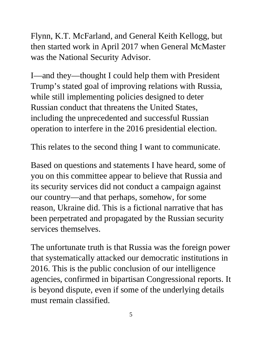Flynn, K.T. McFarland, and General Keith Kellogg, but then started work in April 2017 when General McMaster was the National Security Advisor.

I—and they—thought I could help them with President Trump's stated goal of improving relations with Russia, while still implementing policies designed to deter Russian conduct that threatens the United States, including the unprecedented and successful Russian operation to interfere in the 2016 presidential election.

This relates to the second thing I want to communicate.

Based on questions and statements I have heard, some of you on this committee appear to believe that Russia and its security services did not conduct a campaign against our country—and that perhaps, somehow, for some reason, Ukraine did. This is a fictional narrative that has been perpetrated and propagated by the Russian security services themselves.

The unfortunate truth is that Russia was the foreign power that systematically attacked our democratic institutions in 2016. This is the public conclusion of our intelligence agencies, confirmed in bipartisan Congressional reports. It is beyond dispute, even if some of the underlying details must remain classified.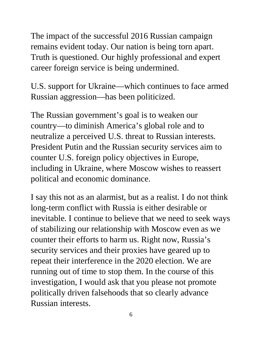The impact of the successful 2016 Russian campaign remains evident today. Our nation is being torn apart. Truth is questioned. Our highly professional and expert career foreign service is being undermined.

U.S. support for Ukraine—which continues to face armed Russian aggression—has been politicized.

The Russian government's goal is to weaken our country—to diminish America's global role and to neutralize a perceived U.S. threat to Russian interests. President Putin and the Russian security services aim to counter U.S. foreign policy objectives in Europe, including in Ukraine, where Moscow wishes to reassert political and economic dominance.

I say this not as an alarmist, but as a realist. I do not think long-term conflict with Russia is either desirable or inevitable. I continue to believe that we need to seek ways of stabilizing our relationship with Moscow even as we counter their efforts to harm us. Right now, Russia's security services and their proxies have geared up to repeat their interference in the 2020 election. We are running out of time to stop them. In the course of this investigation, I would ask that you please not promote politically driven falsehoods that so clearly advance Russian interests.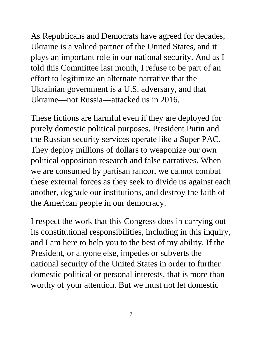As Republicans and Democrats have agreed for decades, Ukraine is a valued partner of the United States, and it plays an important role in our national security. And as I told this Committee last month, I refuse to be part of an effort to legitimize an alternate narrative that the Ukrainian government is a U.S. adversary, and that Ukraine—not Russia—attacked us in 2016.

These fictions are harmful even if they are deployed for purely domestic political purposes. President Putin and the Russian security services operate like a Super PAC. They deploy millions of dollars to weaponize our own political opposition research and false narratives. When we are consumed by partisan rancor, we cannot combat these external forces as they seek to divide us against each another, degrade our institutions, and destroy the faith of the American people in our democracy.

I respect the work that this Congress does in carrying out its constitutional responsibilities, including in this inquiry, and I am here to help you to the best of my ability. If the President, or anyone else, impedes or subverts the national security of the United States in order to further domestic political or personal interests, that is more than worthy of your attention. But we must not let domestic